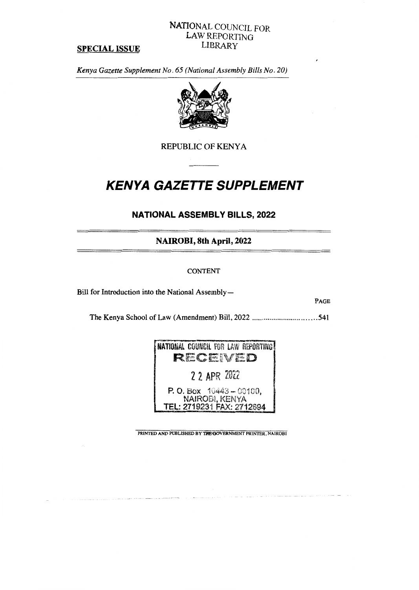# NATIONAL COUNCIL FOR LAW REPORTING LIBRARY

#### **SPECIAL ISSUE**

*Kenya Gazette Supplement No. 65 (National Assembly Bills No. 20)* 



REPUBLIC OF KENYA

# *KENYA GAZETTE SUPPLEMENT*

# **NATIONAL ASSEMBLY BILLS, 2022**

**NAIROBI, 8th April, 2022** 

# CONTENT

Bill for Introduction into the National Assembly—

**PAGE** 

The Kenya School of Law (Amendment) Bill, 2022 541



**PRINTED AND PUBLISHED BY THE GOVERNMENT PRINTER, NAIROBI**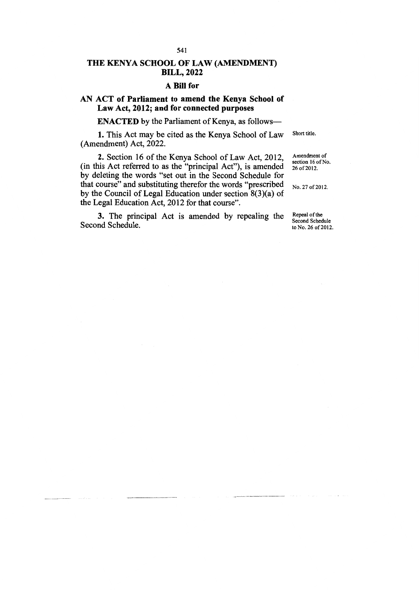# **THE KENYA SCHOOL OF LAW (AMENDMENT) BILL, 2022**

#### **A Bill for**

## **AN ACT of Parliament to amend the Kenya School of Law Act, 2012; and for connected purposes**

**ENACTED** by the Parliament of Kenya, as follows-

1. This Act may be cited as the Kenya School of Law (Amendment) Act, 2022.

2. Section 16 of the Kenya School of Law Act, 2012, (in this Act referred to as the "principal Act"), is amended by deleting the words "set out in the Second Schedule for that course" and substituting therefor the words "prescribed by the Council of Legal Education under section 8(3)(a) of the Legal Education Act, 2012 for that course".

No. 27 of 2012.

3. The principal Act is amended by repealing the Second Schedule.

Repeal of the Second Schedule to No. 26 of 2012.

Short title.

Amendment of section 16 of No. 26 of 2012.

541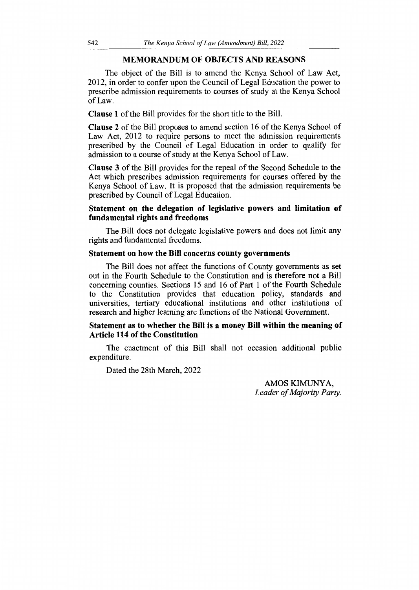#### **MEMORANDUM OF OBJECTS AND REASONS**

The object of the Bill is to amend the Kenya School of Law Act, 2012, in order to confer upon the Council of Legal Education the power to prescribe admission requirements to courses of study at the Kenya School of Law.

**Clause 1** of the Bill provides for the short title to the Bill.

**Clause 2** of the Bill proposes to amend section 16 of the Kenya School of Law Act, 2012 to require persons to meet the admission requirements prescribed by the Council of Legal Education in order to qualify for admission to a course of study at the Kenya School of Law.

**Clause 3** of the Bill provides for the repeal of the Second Schedule to **the**  Act which prescribes admission requirements for courses offered by the Kenya School of Law. It is proposed that the admission requirements be prescribed by Council of Legal Education.

#### **Statement on the delegation of legislative powers and limitation of fundamental rights and freedoms**

The Bill does not delegate legislative powers and does not limit any rights and fundamental freedoms.

#### **Statement on how the Bill concerns county governments**

The Bill does not affect the functions of County governments as set out in the Fourth Schedule to the Constitution and is therefore not a Bill concerning counties. Sections 15 and 16 of Part 1 of the Fourth Schedule to the Constitution provides that education policy, standards and universities, tertiary educational institutions and other institutions of research and higher learning are functions of the National Government.

## **Statement as to whether the Bill is a money Bill within the meaning of Article 114 of the Constitution**

The enactment of this Bill shall not occasion additional public expenditure.

Dated the 28th March, 2022

AMOS KIMUNYA, *Leader of Majority Party.*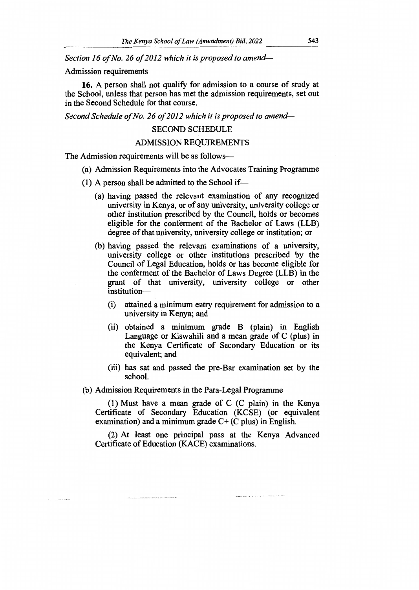*Section 16 of No. 26 of 2012 which it is proposed to amend—*

#### Admission requirements

**16.** A person shall not qualify for admission to a course of study at the School, unless that person has met the admission requirements, set out in the Second Schedule for that course.

*Second Schedule of No. 26 of 2012 which it is proposed to amend—* 

#### SECOND SCHEDULE

### ADMISSION REQUIREMENTS

The Admission requirements will be as follows—

- (a) Admission Requirements into the Advocates Training Programme
- (1) A person shall be admitted to the School if—
	- (a) having passed the relevant examination of any recognized university in Kenya, or of any university, university college or other institution prescribed by the Council, holds or becomes eligible for the conferment of the Bachelor of Laws (LLB) degree of that university, university college or institution; or
	- (b) having passed the relevant examinations of a university, university college or other institutions prescribed by the Council of Legal Education, holds or has become eligible for the conferment of the Bachelor of Laws Degree (LLB) in the grant of that university, university college or other institution—
		- (i) attained a minimum entry requirement for admission to a university in Kenya; and
		- (ii) obtained a minimum grade B (plain) in English Language or Kiswahili and a mean grade of C (plus) in the Kenya Certificate of Secondary Education or its equivalent; and
		- (iii) has sat and passed the pre-Bar examination set by the school.

#### (b) Admission Requirements in the Para-Legal Programme

(1) Must have a mean grade of C (C plain) in the Kenya Certificate of Secondary Education (KCSE) (or equivalent examination) and a minimum grade  $C+$  (C plus) in English.

(2) At least one principal pass at the Kenya Advanced Certificate of Education (KACE) examinations.